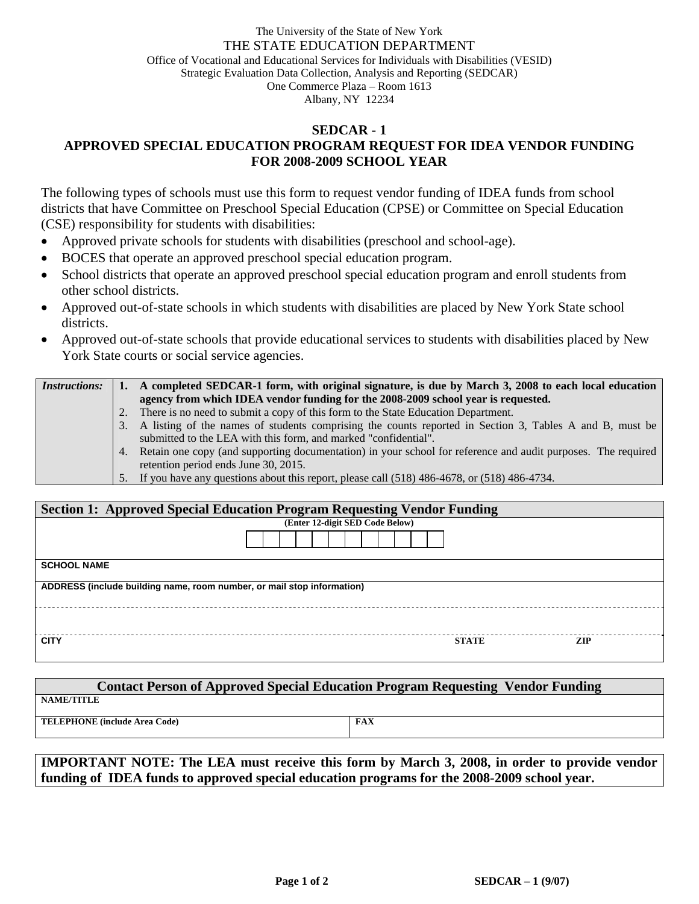## The University of the State of New York THE STATE EDUCATION DEPARTMENT Office of Vocational and Educational Services for Individuals with Disabilities (VESID) Strategic Evaluation Data Collection, Analysis and Reporting (SEDCAR) One Commerce Plaza – Room 1613 Albany, NY 12234

## **SEDCAR - 1 APPROVED SPECIAL EDUCATION PROGRAM REQUEST FOR IDEA VENDOR FUNDING FOR 2008-2009 SCHOOL YEAR**

The following types of schools must use this form to request vendor funding of IDEA funds from school districts that have Committee on Preschool Special Education (CPSE) or Committee on Special Education (CSE) responsibility for students with disabilities:

- Approved private schools for students with disabilities (preschool and school-age).
- BOCES that operate an approved preschool special education program.
- School districts that operate an approved preschool special education program and enroll students from other school districts.
- Approved out-of-state schools in which students with disabilities are placed by New York State school districts.
- Approved out-of-state schools that provide educational services to students with disabilities placed by New York State courts or social service agencies.

| <i>Instructions:</i> |    | A completed SEDCAR-1 form, with original signature, is due by March 3, 2008 to each local education             |  |  |
|----------------------|----|-----------------------------------------------------------------------------------------------------------------|--|--|
|                      |    | agency from which IDEA vendor funding for the 2008-2009 school year is requested.                               |  |  |
|                      | 2. | There is no need to submit a copy of this form to the State Education Department.                               |  |  |
|                      |    | 3. A listing of the names of students comprising the counts reported in Section 3, Tables A and B, must be      |  |  |
|                      |    | submitted to the LEA with this form, and marked "confidential".                                                 |  |  |
|                      |    | 4. Retain one copy (and supporting documentation) in your school for reference and audit purposes. The required |  |  |
|                      |    | retention period ends June 30, 2015.                                                                            |  |  |
|                      |    | 5. If you have any questions about this report, please call (518) 486-4678, or (518) 486-4734.                  |  |  |

| <b>Section 1: Approved Special Education Program Requesting Vendor Funding</b> |                                 |              |      |  |  |  |  |  |
|--------------------------------------------------------------------------------|---------------------------------|--------------|------|--|--|--|--|--|
|                                                                                | (Enter 12-digit SED Code Below) |              |      |  |  |  |  |  |
|                                                                                |                                 |              |      |  |  |  |  |  |
| <b>SCHOOL NAME</b>                                                             |                                 |              |      |  |  |  |  |  |
| ADDRESS (include building name, room number, or mail stop information)         |                                 |              |      |  |  |  |  |  |
|                                                                                |                                 |              |      |  |  |  |  |  |
| <b>CITY</b>                                                                    |                                 | <b>STATE</b> | ZIP. |  |  |  |  |  |

| <b>Contact Person of Approved Special Education Program Requesting Vendor Funding</b> |            |  |  |  |  |  |  |  |
|---------------------------------------------------------------------------------------|------------|--|--|--|--|--|--|--|
| <b>NAME/TITLE</b>                                                                     |            |  |  |  |  |  |  |  |
| <b>TELEPHONE</b> (include Area Code)                                                  | <b>FAX</b> |  |  |  |  |  |  |  |

**IMPORTANT NOTE: The LEA must receive this form by March 3, 2008, in order to provide vendor funding of IDEA funds to approved special education programs for the 2008-2009 school year.**